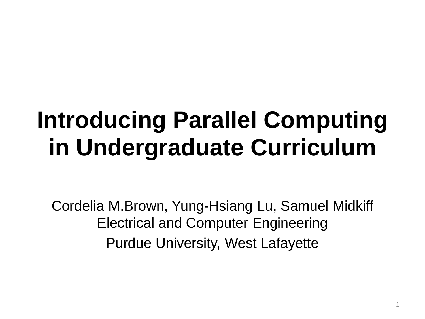#### **Introducing Parallel Computing in Undergraduate Curriculum**

Cordelia M.Brown, Yung-Hsiang Lu, Samuel Midkiff Electrical and Computer Engineering Purdue University, West Lafayette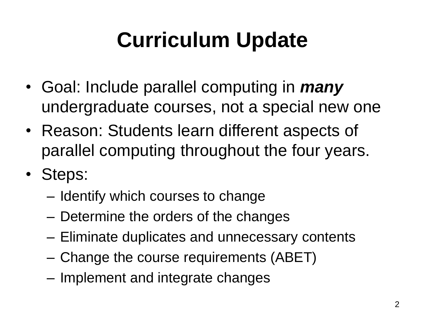#### **Curriculum Update**

- Goal: Include parallel computing in *many* undergraduate courses, not a special new one
- Reason: Students learn different aspects of parallel computing throughout the four years.
- Steps:
	- Identify which courses to change
	- Determine the orders of the changes
	- Eliminate duplicates and unnecessary contents
	- Change the course requirements (ABET)
	- Implement and integrate changes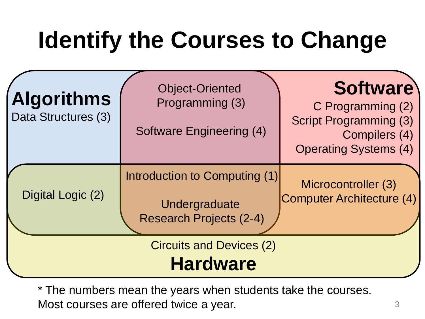## **Identify the Courses to Change**

| <b>Algorithms</b><br>Data Structures (3)<br>Digital Logic (2) | <b>Object-Oriented</b><br>Programming (3)<br><b>Software Engineering (4)</b><br>Introduction to Computing (1)<br>Undergraduate<br><b>Research Projects (2-4)</b> | <b>Software</b><br>C Programming (2)<br><b>Script Programming (3)</b><br>Compilers (4)<br><b>Operating Systems (4)</b><br>Microcontroller (3)<br><b>Computer Architecture (4)</b> |
|---------------------------------------------------------------|------------------------------------------------------------------------------------------------------------------------------------------------------------------|-----------------------------------------------------------------------------------------------------------------------------------------------------------------------------------|
| <b>Circuits and Devices (2)</b><br><b>Hardware</b>            |                                                                                                                                                                  |                                                                                                                                                                                   |

\* The numbers mean the years when students take the courses. Most courses are offered twice a year.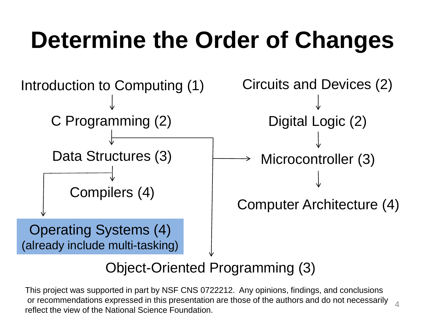### **Determine the Order of Changes**



#### Object-Oriented Programming (3)

4 This project was supported in part by NSF CNS 0722212. Any opinions, findings, and conclusions or recommendations expressed in this presentation are those of the authors and do not necessarily reflect the view of the National Science Foundation.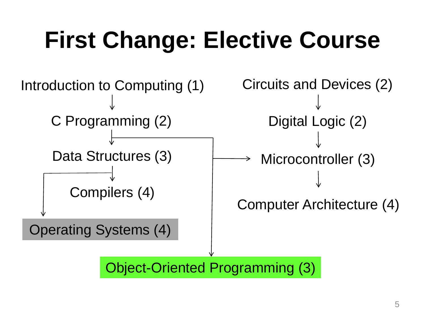### **First Change: Elective Course**

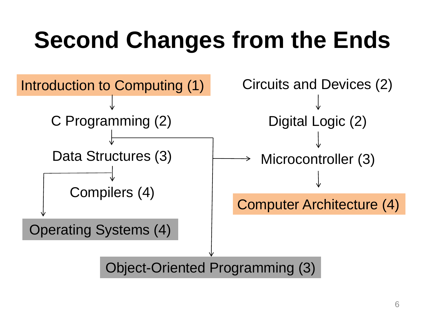### **Second Changes from the Ends**

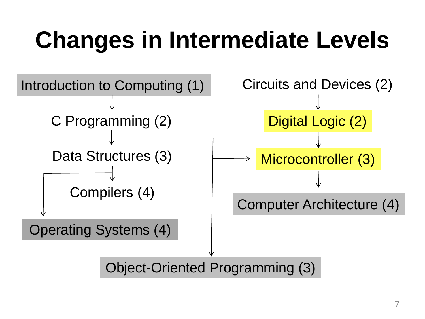## **Changes in Intermediate Levels**

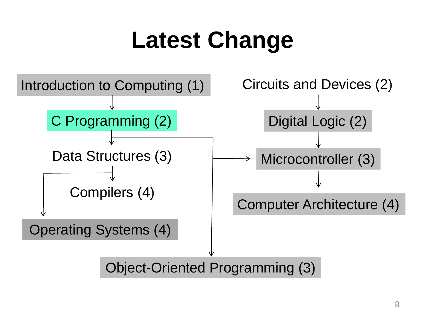#### **Latest Change**

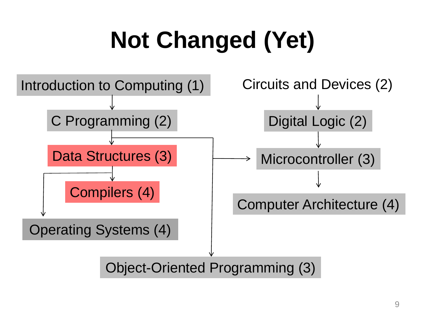## **Not Changed (Yet)**

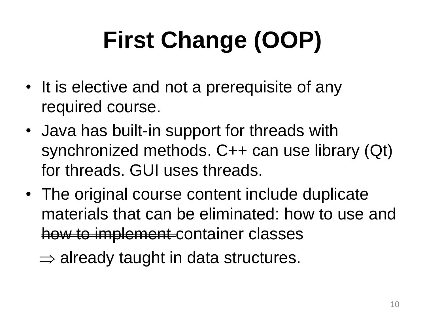# **First Change (OOP)**

- It is elective and not a prerequisite of any required course.
- Java has built-in support for threads with synchronized methods. C++ can use library (Qt) for threads. GUI uses threads.
- The original course content include duplicate materials that can be eliminated: how to use and how to implement container classes
	- $\Rightarrow$  already taught in data structures.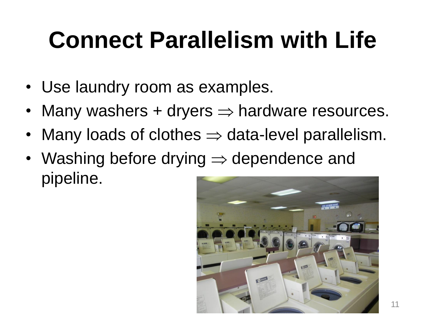### **Connect Parallelism with Life**

- Use laundry room as examples.
- Many washers  $+$  dryers  $\Rightarrow$  hardware resources.
- Many loads of clothes  $\Rightarrow$  data-level parallelism.
- Washing before drying  $\Rightarrow$  dependence and pipeline.

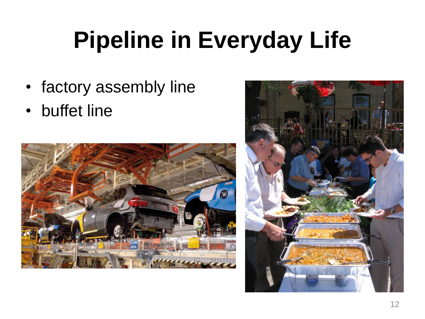### **Pipeline in Everyday Life**

- factory assembly line
- buffet line



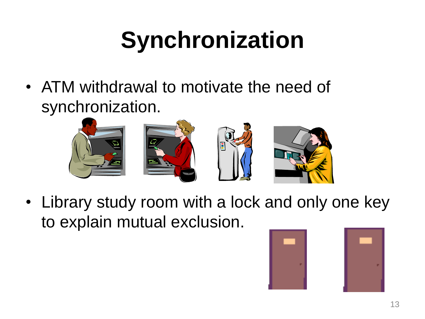## **Synchronization**

• ATM withdrawal to motivate the need of synchronization.



• Library study room with a lock and only one key to explain mutual exclusion.

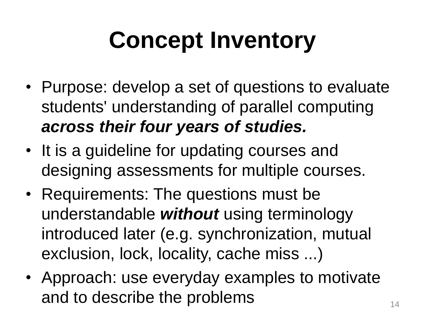## **Concept Inventory**

- Purpose: develop a set of questions to evaluate students' understanding of parallel computing *across their four years of studies.*
- It is a guideline for updating courses and designing assessments for multiple courses.
- Requirements: The questions must be understandable *without* using terminology introduced later (e.g. synchronization, mutual exclusion, lock, locality, cache miss ...)
- Approach: use everyday examples to motivate and to describe the problems  $14$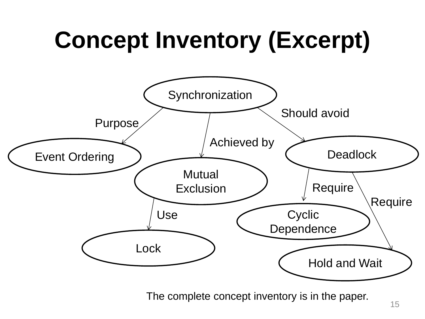## **Concept Inventory (Excerpt)**



The complete concept inventory is in the paper.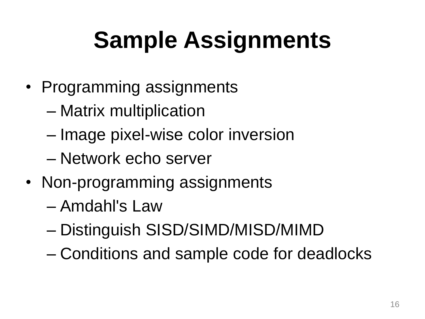## **Sample Assignments**

- Programming assignments
	- Matrix multiplication
	- Image pixel-wise color inversion
	- Network echo server
- Non-programming assignments
	- Amdahl's Law
	- Distinguish SISD/SIMD/MISD/MIMD
	- Conditions and sample code for deadlocks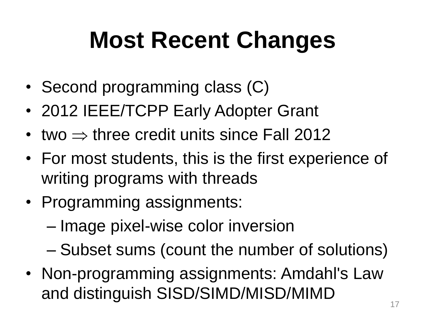#### **Most Recent Changes**

- Second programming class (C)
- 2012 IEEE/TCPP Early Adopter Grant
- two  $\Rightarrow$  three credit units since Fall 2012
- For most students, this is the first experience of writing programs with threads
- Programming assignments:
	- Image pixel-wise color inversion
	- Subset sums (count the number of solutions)
- Non-programming assignments: Amdahl's Law and distinguish SISD/SIMD/MISD/MIMD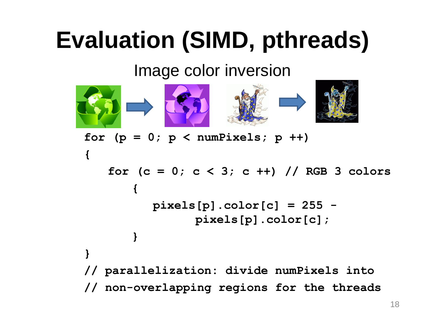#### **Evaluation (SIMD, pthreads)**

Image color inversion



for  $(p = 0; p < number$  numPixels;  $p +$ ) **{ for (c = 0; c < 3; c ++) // RGB 3 colors { pixels[p].color[c] = 255 pixels[p].color[c]; } } // parallelization: divide numPixels into // non-overlapping regions for the threads**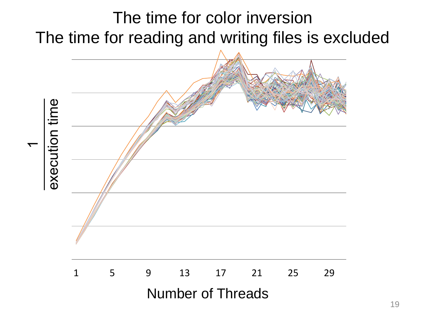#### The time for color inversion The time for reading and writing files is excluded

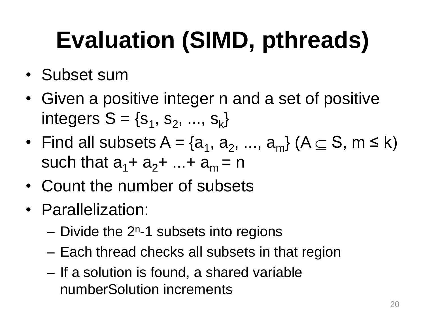## **Evaluation (SIMD, pthreads)**

- Subset sum
- Given a positive integer n and a set of positive integers  $S = \{s_1, s_2, ..., s_k\}$
- Find all subsets  $A = \{a_1, a_2, ..., a_m\}$  ( $A \subseteq S$ ,  $m \le k$ ) such that  $a_1 + a_2 + ... + a_m = n$
- Count the number of subsets
- Parallelization:
	- $-$  Divide the  $2<sup>n</sup>$ -1 subsets into regions
	- Each thread checks all subsets in that region
	- If a solution is found, a shared variable numberSolution increments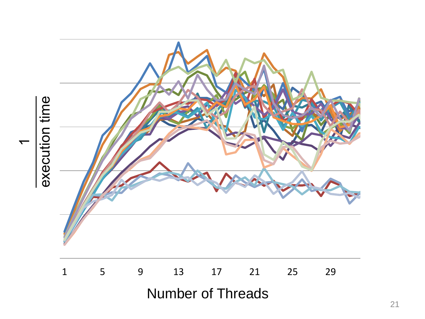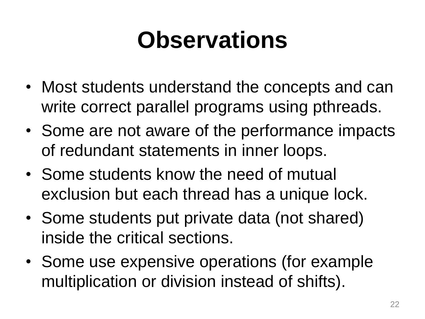#### **Observations**

- Most students understand the concepts and can write correct parallel programs using pthreads.
- Some are not aware of the performance impacts of redundant statements in inner loops.
- Some students know the need of mutual exclusion but each thread has a unique lock.
- Some students put private data (not shared) inside the critical sections.
- Some use expensive operations (for example multiplication or division instead of shifts).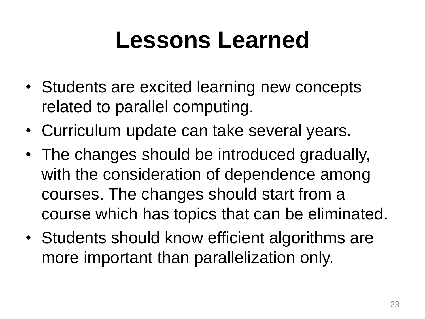#### **Lessons Learned**

- Students are excited learning new concepts related to parallel computing.
- Curriculum update can take several years.
- The changes should be introduced gradually, with the consideration of dependence among courses. The changes should start from a course which has topics that can be eliminated.
- Students should know efficient algorithms are more important than parallelization only.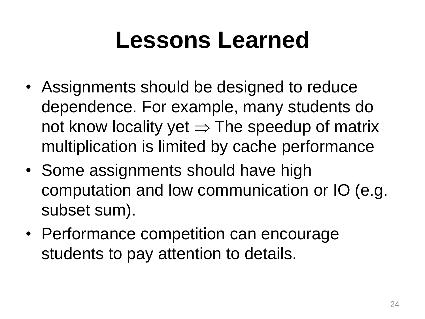#### **Lessons Learned**

- Assignments should be designed to reduce dependence. For example, many students do not know locality yet  $\Rightarrow$  The speedup of matrix multiplication is limited by cache performance
- Some assignments should have high computation and low communication or IO (e.g. subset sum).
- Performance competition can encourage students to pay attention to details.